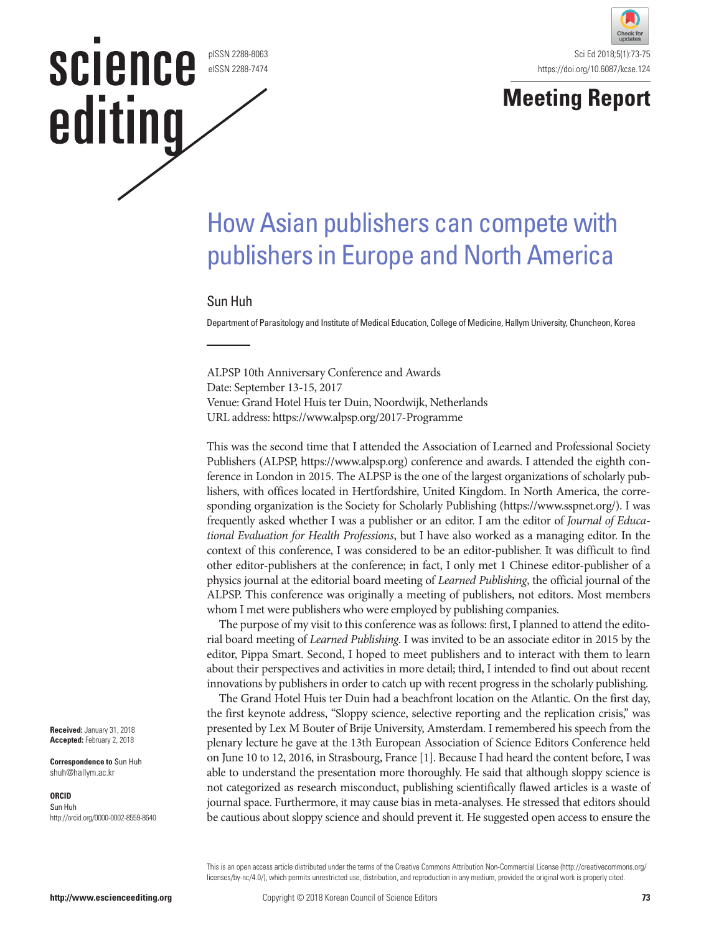#### pISSN 2288-8063 eISSN 2288-7474

science

editing



## **Meeting Report**

# How Asian publishers can compete with publishers in Europe and North America

#### Sun Huh

Department of Parasitology and Institute of Medical Education, College of Medicine, Hallym University, Chuncheon, Korea

ALPSP 10th Anniversary Conference and Awards Date: September 13-15, 2017 Venue: Grand Hotel Huis ter Duin, Noordwijk, Netherlands URL address: https://www.alpsp.org/2017-Programme

This was the second time that I attended the Association of Learned and Professional Society Publishers (ALPSP, https://www.alpsp.org) conference and awards. I attended the eighth conference in London in 2015. The ALPSP is the one of the largest organizations of scholarly publishers, with offices located in Hertfordshire, United Kingdom. In North America, the corresponding organization is the Society for Scholarly Publishing (https://www.sspnet.org/). I was frequently asked whether I was a publisher or an editor. I am the editor of *Journal of Educational Evaluation for Health Professions*, but I have also worked as a managing editor. In the context of this conference, I was considered to be an editor-publisher. It was difficult to find other editor-publishers at the conference; in fact, I only met 1 Chinese editor-publisher of a physics journal at the editorial board meeting of *Learned Publishing*, the official journal of the ALPSP. This conference was originally a meeting of publishers, not editors. Most members whom I met were publishers who were employed by publishing companies.

The purpose of my visit to this conference was as follows: first, I planned to attend the editorial board meeting of *Learned Publishing*. I was invited to be an associate editor in 2015 by the editor, Pippa Smart. Second, I hoped to meet publishers and to interact with them to learn about their perspectives and activities in more detail; third, I intended to find out about recent innovations by publishers in order to catch up with recent progress in the scholarly publishing.

The Grand Hotel Huis ter Duin had a beachfront location on the Atlantic. On the first day, the first keynote address, "Sloppy science, selective reporting and the replication crisis," was presented by Lex M Bouter of Brije University, Amsterdam. I remembered his speech from the plenary lecture he gave at the 13th European Association of Science Editors Conference held on June 10 to 12, 2016, in Strasbourg, France [1]. Because I had heard the content before, I was able to understand the presentation more thoroughly. He said that although sloppy science is not categorized as research misconduct, publishing scientifically flawed articles is a waste of journal space. Furthermore, it may cause bias in meta-analyses. He stressed that editors should be cautious about sloppy science and should prevent it. He suggested open access to ensure the

This is an open access article distributed under the terms of the Creative Commons Attribution Non-Commercial License ([http://creativecommons.org/](http://creativecommons.org/licenses/by-nc/3.0/) [licenses/by-nc/4.0/](http://creativecommons.org/licenses/by-nc/3.0/)), which permits unrestricted use, distribution, and reproduction in any medium, provided the original work is properly cited.

**Received:** January 31, 2018 **Accepted:** February 2, 2018

**Correspondence to** Sun Huh shuh@hallym.ac.kr

#### **ORCID**

Sun Huh http://orcid.org/0000-0002-8559-8640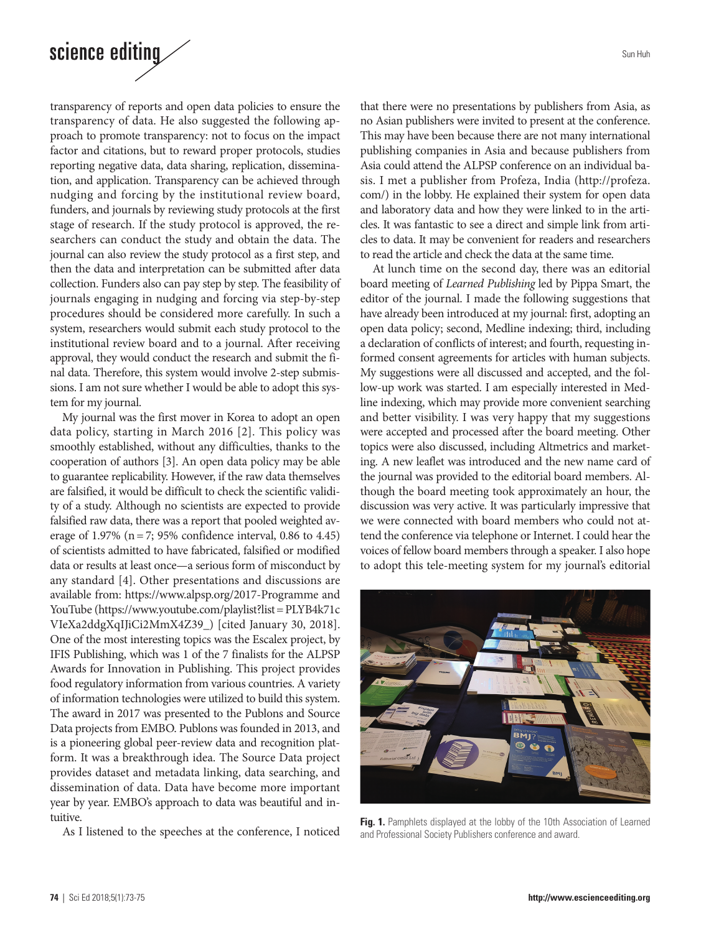### science editing

transparency of reports and open data policies to ensure the transparency of data. He also suggested the following approach to promote transparency: not to focus on the impact factor and citations, but to reward proper protocols, studies reporting negative data, data sharing, replication, dissemination, and application. Transparency can be achieved through nudging and forcing by the institutional review board, funders, and journals by reviewing study protocols at the first stage of research. If the study protocol is approved, the researchers can conduct the study and obtain the data. The journal can also review the study protocol as a first step, and then the data and interpretation can be submitted after data collection. Funders also can pay step by step. The feasibility of journals engaging in nudging and forcing via step-by-step procedures should be considered more carefully. In such a system, researchers would submit each study protocol to the institutional review board and to a journal. After receiving approval, they would conduct the research and submit the final data. Therefore, this system would involve 2-step submissions. I am not sure whether I would be able to adopt this system for my journal.

My journal was the first mover in Korea to adopt an open data policy, starting in March 2016 [2]. This policy was smoothly established, without any difficulties, thanks to the cooperation of authors [3]. An open data policy may be able to guarantee replicability. However, if the raw data themselves are falsified, it would be difficult to check the scientific validity of a study. Although no scientists are expected to provide falsified raw data, there was a report that pooled weighted average of 1.97% (n= 7; 95% confidence interval, 0.86 to 4.45) of scientists admitted to have fabricated, falsified or modified data or results at least once—a serious form of misconduct by any standard [4]. Other presentations and discussions are available from: https://www.alpsp.org/2017-Programme and YouTube (https://www.youtube.com/playlist?list= PLYB4k71c VIeXa2ddgXqIJiCi2MmX4Z39\_) [cited January 30, 2018]. One of the most interesting topics was the Escalex project, by IFIS Publishing, which was 1 of the 7 finalists for the ALPSP Awards for Innovation in Publishing. This project provides food regulatory information from various countries. A variety of information technologies were utilized to build this system. The award in 2017 was presented to the Publons and Source Data projects from EMBO. Publons was founded in 2013, and is a pioneering global peer-review data and recognition platform. It was a breakthrough idea. The Source Data project provides dataset and metadata linking, data searching, and dissemination of data. Data have become more important year by year. EMBO's approach to data was beautiful and intuitive.

As I listened to the speeches at the conference, I noticed

Sun Huh

that there were no presentations by publishers from Asia, as no Asian publishers were invited to present at the conference. This may have been because there are not many international publishing companies in Asia and because publishers from Asia could attend the ALPSP conference on an individual basis. I met a publisher from Profeza, India (http://profeza. com/) in the lobby. He explained their system for open data and laboratory data and how they were linked to in the articles. It was fantastic to see a direct and simple link from articles to data. It may be convenient for readers and researchers to read the article and check the data at the same time.

At lunch time on the second day, there was an editorial board meeting of *Learned Publishing* led by Pippa Smart, the editor of the journal. I made the following suggestions that have already been introduced at my journal: first, adopting an open data policy; second, Medline indexing; third, including a declaration of conflicts of interest; and fourth, requesting informed consent agreements for articles with human subjects. My suggestions were all discussed and accepted, and the follow-up work was started. I am especially interested in Medline indexing, which may provide more convenient searching and better visibility. I was very happy that my suggestions were accepted and processed after the board meeting. Other topics were also discussed, including Altmetrics and marketing. A new leaflet was introduced and the new name card of the journal was provided to the editorial board members. Although the board meeting took approximately an hour, the discussion was very active. It was particularly impressive that we were connected with board members who could not attend the conference via telephone or Internet. I could hear the voices of fellow board members through a speaker. I also hope to adopt this tele-meeting system for my journal's editorial



**Fig. 1.** Pamphlets displayed at the lobby of the 10th Association of Learned and Professional Society Publishers conference and award.